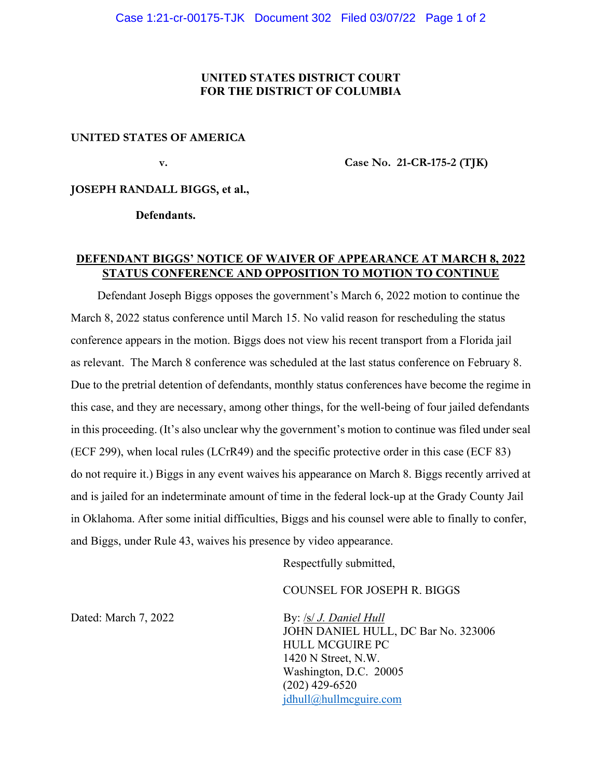## **UNITED STATES DISTRICT COURT FOR THE DISTRICT OF COLUMBIA**

## **UNITED STATES OF AMERICA**

 **v. Case No. 21-CR-175-2 (TJK)** 

**JOSEPH RANDALL BIGGS, et al.,** 

 **Defendants.** 

## **DEFENDANT BIGGS' NOTICE OF WAIVER OF APPEARANCE AT MARCH 8, 2022 STATUS CONFERENCE AND OPPOSITION TO MOTION TO CONTINUE**

Defendant Joseph Biggs opposes the government's March 6, 2022 motion to continue the March 8, 2022 status conference until March 15. No valid reason for rescheduling the status conference appears in the motion. Biggs does not view his recent transport from a Florida jail as relevant. The March 8 conference was scheduled at the last status conference on February 8. Due to the pretrial detention of defendants, monthly status conferences have become the regime in this case, and they are necessary, among other things, for the well-being of four jailed defendants in this proceeding. (It's also unclear why the government's motion to continue was filed under seal (ECF 299), when local rules (LCrR49) and the specific protective order in this case (ECF 83) do not require it.) Biggs in any event waives his appearance on March 8. Biggs recently arrived at and is jailed for an indeterminate amount of time in the federal lock-up at the Grady County Jail in Oklahoma. After some initial difficulties, Biggs and his counsel were able to finally to confer, and Biggs, under Rule 43, waives his presence by video appearance.

Respectfully submitted,

COUNSEL FOR JOSEPH R. BIGGS

Dated: March 7, 2022 **By:** *Isl J. Daniel Hull*  JOHN DANIEL HULL, DC Bar No. 323006 HULL MCGUIRE PC 1420 N Street, N.W. Washington, D.C. 20005 (202) 429-6520 jdhull@hullmcguire.com